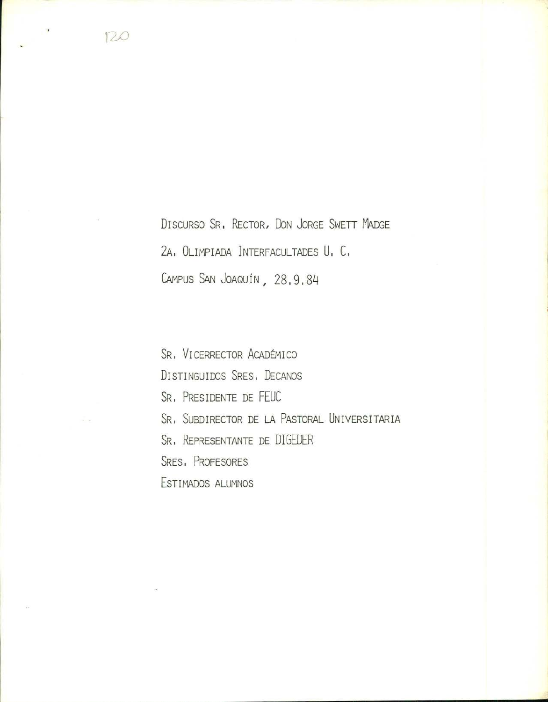DISCURSO SR. RECTOR, DON JORGE SWETT MADGE 2A. OLIMPIADA INTERFACULTADES U. C. CAMPUS SAN JOAQUÍN, 28.9.84

SR. VICERRECTOR ACADÉMICO DISTINGUIDOS SRES, DECANOS SR. PRESIDENTE DE FEUC SR. SUBDIRECTOR DE LA PASTORAL UNIVERSITARIA SR. REPRESENTANTE DE DIGEDER SRES, PROFESORES ESTIMADOS ALUMNOS

120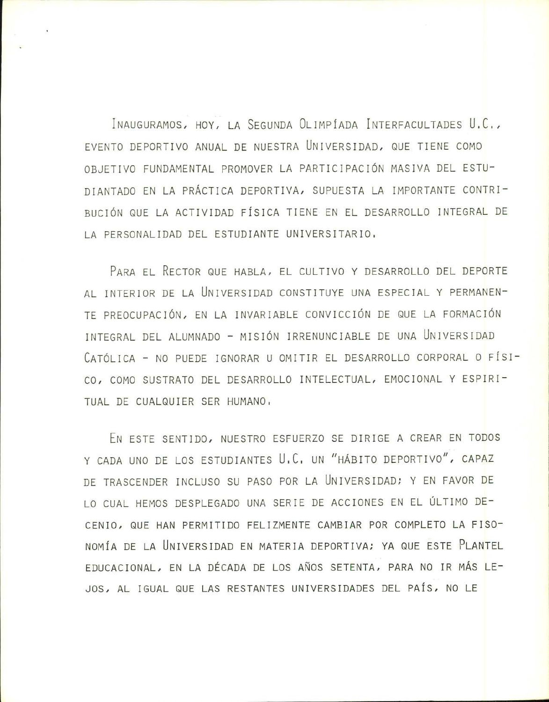INAUGURAMOS, HOY, LA SEGUNDA OLIMPIADA INTERFACULTADES U.C1, EVENTO DEPORTIVO ANUAL DE NUESTRA UNIVERSIDAD, QUE TIENE COMO OBJETIVO FUNDAMENTAL PROMOVER LA PARTICIPACIÓN MASIVA DEL ESTU-DIANTADO EN LA PRACTICA DEPORTIVA, SUPUESTA LA IMPORTANTE CONTRI - BUCION QUE LA ACTIVIDAD FISICA TIENE EN EL DESARROLLO INTEGRAL DE LA PERSONALIDAD DEL ESTUDIANTE UNIVERSITARIO,

PARA EL RECTOR QUE HABLA, EL CULTIVO Y DESARROLLO DEL DEPORTE AL INTERIOR DE LA UNIVERSIDAD CONSTITUYE UNA ESPECIAL Y PERMANEN-TE PREOCUPACIÓN, EN LA INVARIABLE CONVICCIÓN DE QUE LA FORMACIÓN INTEGRAL DEL ALUMNADO - MISION IRRENUNCIABLE DE UNA UNIVERSIDAD CATÓLICA - NO PUEDE IGNORAR U OMITIR EL DESARROLLO CORPORAL O FÍSI-CO, COMO SUSTRATO DEL DESARROLLO INTELECTUAL, EMOCIONAL Y ESPIRI TUAL DE CUALQUIER SER HUMANO.

EN ESTE SENTIDO, NUESTRO ESFUERZO SE DIRIGE A CREAR EN TODOS Y CADA UNO DE LOS ESTUDIANTES U.C. UN "HÁBITO DEPORTIVO", CAPAZ DE TRASCENDER INCLUSO SU PASO POR LA UNIVERSIDAD; Y EN FAVOR DE LO CUAL HEMOS DESPLEGADO UNA SERIE DE ACCIONES EN EL ÚLTIMO DE-CENJO, QUE HAN PERMITIDO FELIZMENTE CAMBIAR POR COMPLETO LA FISO NOMIA DE LA UNIVERSIDAD EN MATERIA DEPORTIVA; YA QUE ESTE PLANTEL EDUCACIONAL, EN LA DÉCADA DE LOS AÑOS SETENTA, PARA NO IR MÁS LE-JOS, AL IGUAL QUE LAS RESTANTES UNIVERSIDADES DEL PAÍS, NO LE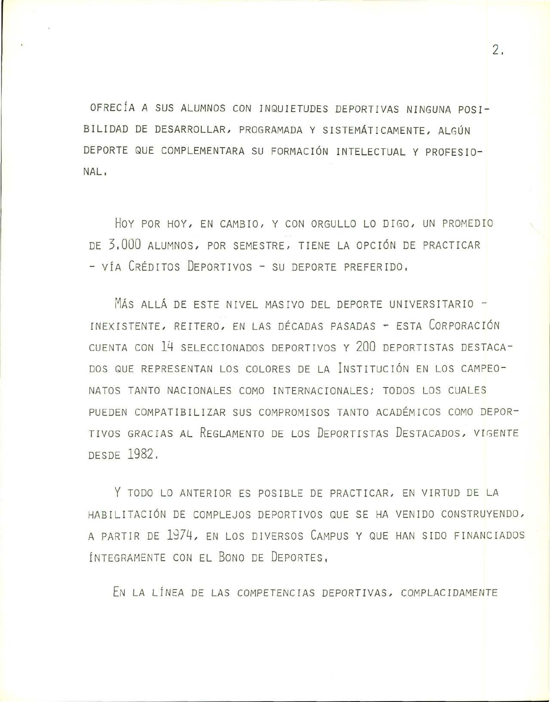OFRECÍA A SUS ALUMNOS CON INQUIETUDES DEPORTIVAS NINGUNA POSI-BILIDAD DE DESARROLLAR, PROGRAMADA Y SISTEMÁTICAMENTE, ALGÚN DEPORTE QUE COMPLEMENTARA SU FORMACIÓN INTELECTUAL Y PROFESIO-NAL.

HOY POR HOY, EN CAMBIO, Y CON ORGULLO LO DIGO, UN PROMEDIO DE 3,000 ALUMNOS, POR SEMESTRE, TIENE LA OPCIÓN DE PRACTICAR - VÍA CRÉDITOS DEPORTIVOS - SU DEPORTE PREFERIDO,

MÁS ALLÁ DE ESTE NIVEL MASIVO DEL DEPORTE UNIVERSITARIO -INEXISTENTE, REITERO, EN LAS DÉCADAS PASADAS - ESTA CORPORACIÓN CUENTA CON 14 SELECCIONADOS DEPORTIVOS Y 200 DEPORTISTAS DESTACA-DOS QUE REPRESENTAN LOS COLORES DE LA INSTITUCIÓN EN LOS CAMPEO-NATOS TANTO NACIONALES COMO INTERNACIONALES: TODOS LOS CUALES PUEDEN COMPATIBILIZAR SUS COMPROMISOS TANTO ACADÉMICOS COMO DEPOR-TIVOS GRACIAS AL REGLAMENTO DE LOS DEPORTISTAS DESTACADOS, VIGENTE DESDE 1982.

Y TODO LO ANTERIOR ES POSIBLE DE PRACTICAR, EN VIRTUD DE LA HABILITACIÓN DE COMPLEJOS DEPORTIVOS QUE SE HA VENIDO CONSTRUYENDO, A PARTIR DE 1974, EN LOS DIVERSOS CAMPUS Y QUE HAN SIDO FINANCIADOS INTEGRAMENTE CON EL BONO DE DEPORTES,

EN LA LÍNEA DE LAS COMPETENCIAS DEPORTIVAS, COMPLACIDAMENTE

 $2.$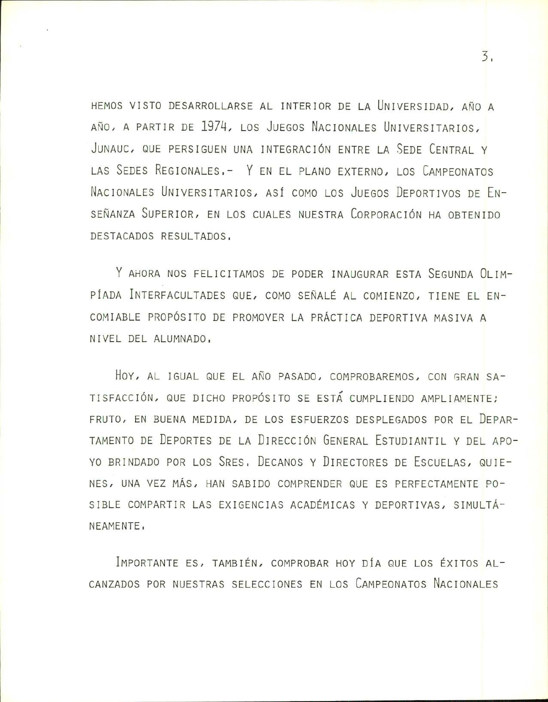HEMOS VISTO DESARROLLARSE AL INTERIOR DE LA UNIVERSIDAD, AÑO A AÑO, A PARTIR DE 1974, LOS JUEGOS NACIONALES UNIVERSITARIOS, JUNAUC, QUE PERSIGUEN UNA INTEGRACIÓN ENTRE LA SEDE CENTRAL Y LAS SEDES REGIONALES. - Y EN EL PLANO EXTERNO, LOS CAMPEONATOS NACIONALES UNIVERSITARIOS, ASÍ COMO LOS JUEGOS DEPORTIVOS DE EN-SEÑANZA SUPERIOR, EN LOS CUALES NUESTRA CORPORACIÓN HA OBTENIDO DESTACADOS RESULTADOS,

Y AHORA NOS FELICITAMOS DE PODER INAUGURAR ESTA SEGUNDA OLIM-PÍADA INTERFACULTADES QUE, COMO SEÑALÉ AL COMIENZO, TIENE EL EN-COMIABLE PROPÓSITO DE PROMOVER LA PRÁCTICA DEPORTIVA MASIVA A NIVEL DEL ALUMNADO.

HOY, AL IGUAL QUE EL AÑO PASADO, COMPROBAREMOS, CON GRAN SA-TISFACCIÓN, QUE DICHO PROPÓSITO SE ESTÁ CUMPLIENDO AMPLIAMENTE; FRUTO, EN BUENA MEDIDA, DE LOS ESFUERZOS DESPLEGADOS POR EL DEPAR-TAMENTO DE DEPORTES DE LA DIRECCIÓN GENERAL ESTUDIANTIL Y DEL APO-YO BRINDADO POR LOS SRES, DECANOS Y DIRECTORES DE ESCUELAS, QUIE-NES, UNA VEZ MÁS, HAN SABIDO COMPRENDER QUE ES PERFECTAMENTE PO-SIBLE COMPARTIR LAS EXIGENCIAS ACADÉMICAS Y DEPORTIVAS, SIMULTÁ-NEAMENTE,

IMPORTANTE ES, TAMBIÉN, COMPROBAR HOY DÍA QUE LOS ÉXITOS AL-CANZADOS POR NUESTRAS SELECCIONES EN LOS CAMPEONATOS NACIONALES

3.